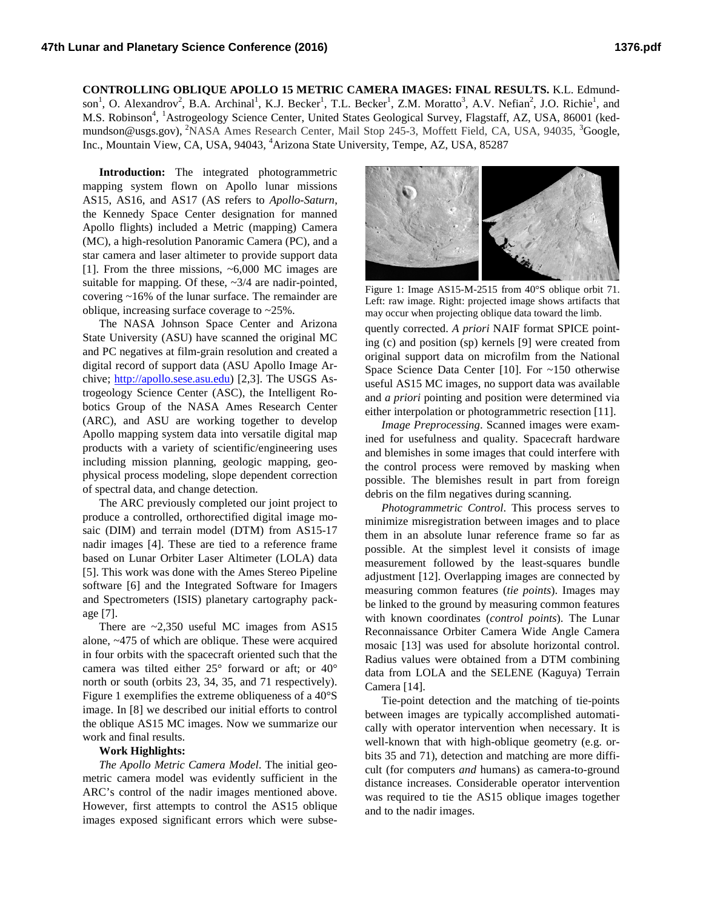**CONTROLLING OBLIQUE APOLLO 15 METRIC CAMERA IMAGES: FINAL RESULTS.** K.L. Edmundson<sup>1</sup>, O. Alexandrov<sup>2</sup>, B.A. Archinal<sup>1</sup>, K.J. Becker<sup>1</sup>, T.L. Becker<sup>1</sup>, Z.M. Moratto<sup>3</sup>, A.V. Nefian<sup>2</sup>, J.O. Richie<sup>1</sup>, and M.S. Robinson<sup>4</sup>, <sup>1</sup>Astrogeology Science Center, United States Geological Survey, Flagstaff, AZ, USA, 86001 (kedmundson@usgs.gov), <sup>2</sup>NASA Ames Research Center, Mail Stop 245-3, Moffett Field, CA, USA, 94035, <sup>3</sup>Google, Inc., Mountain View, CA, USA, 94043, <sup>4</sup>Arizona State University, Tempe, AZ, USA, 85287

**Introduction:** The integrated photogrammetric mapping system flown on Apollo lunar missions AS15, AS16, and AS17 (AS refers to *Apollo-Saturn*, the Kennedy Space Center designation for manned Apollo flights) included a Metric (mapping) Camera (MC), a high-resolution Panoramic Camera (PC), and a star camera and laser altimeter to provide support data [1]. From the three missions, ~6,000 MC images are suitable for mapping. Of these,  $\sim 3/4$  are nadir-pointed, covering ~16% of the lunar surface. The remainder are oblique, increasing surface coverage to ~25%.

The NASA Johnson Space Center and Arizona State University (ASU) have scanned the original MC and PC negatives at film-grain resolution and created a digital record of support data (ASU Apollo Image Archive; [http://apollo.sese.asu.edu\)](http://apollo.sese.asu.edu/) [2,3]. The USGS Astrogeology Science Center (ASC), the Intelligent Robotics Group of the NASA Ames Research Center (ARC), and ASU are working together to develop Apollo mapping system data into versatile digital map products with a variety of scientific/engineering uses including mission planning, geologic mapping, geophysical process modeling, slope dependent correction of spectral data, and change detection.

The ARC previously completed our joint project to produce a controlled, orthorectified digital image mosaic (DIM) and terrain model (DTM) from AS15-17 nadir images [4]. These are tied to a reference frame based on Lunar Orbiter Laser Altimeter (LOLA) data [5]. This work was done with the Ames Stereo Pipeline software [6] and the Integrated Software for Imagers and Spectrometers (ISIS) planetary cartography package [7].

There are  $\approx 2,350$  useful MC images from AS15 alone, ~475 of which are oblique. These were acquired in four orbits with the spacecraft oriented such that the camera was tilted either 25° forward or aft; or 40° north or south (orbits 23, 34, 35, and 71 respectively). [Figure 1](#page-0-0) exemplifies the extreme obliqueness of a 40°S image. In [8] we described our initial efforts to control the oblique AS15 MC images. Now we summarize our work and final results.

## **Work Highlights:**

*The Apollo Metric Camera Model*. The initial geometric camera model was evidently sufficient in the ARC's control of the nadir images mentioned above. However, first attempts to control the AS15 oblique images exposed significant errors which were subse-



<span id="page-0-0"></span>Figure 1: Image AS15-M-2515 from 40°S oblique orbit 71. Left: raw image. Right: projected image shows artifacts that may occur when projecting oblique data toward the limb.

quently corrected. *A priori* NAIF format SPICE pointing (c) and position (sp) kernels [9] were created from original support data on microfilm from the National Space Science Data Center [10]. For ~150 otherwise useful AS15 MC images, no support data was available and *a priori* pointing and position were determined via either interpolation or photogrammetric resection [11].

*Image Preprocessing*. Scanned images were examined for usefulness and quality. Spacecraft hardware and blemishes in some images that could interfere with the control process were removed by masking when possible. The blemishes result in part from foreign debris on the film negatives during scanning.

*Photogrammetric Control*. This process serves to minimize misregistration between images and to place them in an absolute lunar reference frame so far as possible. At the simplest level it consists of image measurement followed by the least-squares bundle adjustment [12]. Overlapping images are connected by measuring common features (*tie points*). Images may be linked to the ground by measuring common features with known coordinates (*control points*). The Lunar Reconnaissance Orbiter Camera Wide Angle Camera mosaic [13] was used for absolute horizontal control. Radius values were obtained from a DTM combining data from LOLA and the SELENE (Kaguya) Terrain Camera [14].

Tie-point detection and the matching of tie-points between images are typically accomplished automatically with operator intervention when necessary. It is well-known that with high-oblique geometry (e.g. orbits 35 and 71), detection and matching are more difficult (for computers *and* humans) as camera-to-ground distance increases. Considerable operator intervention was required to tie the AS15 oblique images together and to the nadir images.